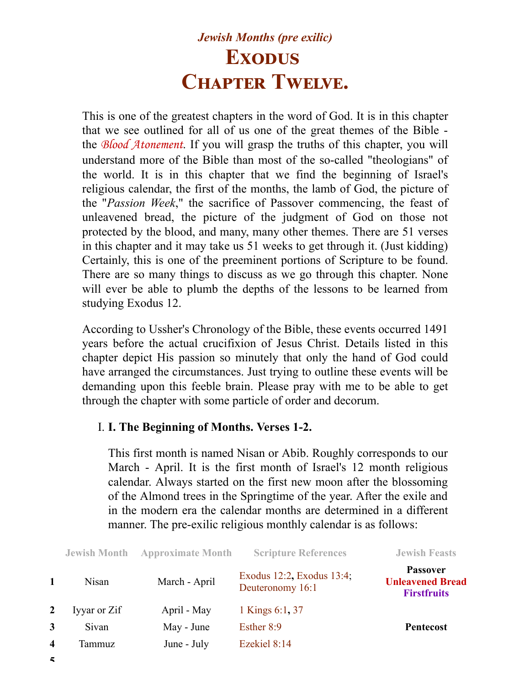## *Jewish Months (pre exilic)* **Exodus CHAPTER TWELVE.**

This is one of the greatest chapters in the word of God. It is in this chapter that we see outlined for all of us one of the great themes of the Bible the *Blood Atonement*. If you will grasp the truths of this chapter, you will understand more of the Bible than most of the so-called "theologians" of the world. It is in this chapter that we find the beginning of Israel's religious calendar, the first of the months, the lamb of God, the picture of the "*Passion Week*," the sacrifice of Passover commencing, the feast of unleavened bread, the picture of the judgment of God on those not protected by the blood, and many, many other themes. There are 51 verses in this chapter and it may take us 51 weeks to get through it. (Just kidding) Certainly, this is one of the preeminent portions of Scripture to be found. There are so many things to discuss as we go through this chapter. None will ever be able to plumb the depths of the lessons to be learned from studying Exodus 12.

According to Ussher's Chronology of the Bible, these events occurred 1491 years before the actual crucifixion of Jesus Christ. Details listed in this chapter depict His passion so minutely that only the hand of God could have arranged the circumstances. Just trying to outline these events will be demanding upon this feeble brain. Please pray with me to be able to get through the chapter with some particle of order and decorum.

## I. **I. The Beginning of Months. Verses 1-2.**

This first month is named Nisan or Abib. Roughly corresponds to our March - April. It is the first month of Israel's 12 month religious calendar. Always started on the first new moon after the blossoming of the Almond trees in the Springtime of the year. After the exile and in the modern era the calendar months are determined in a different manner. The pre-exilic religious monthly calendar is as follows:

|                  | <b>Jewish Month</b> | <b>Approximate Month</b> | <b>Scripture References</b>                   | <b>Jewish Feasts</b>                                             |
|------------------|---------------------|--------------------------|-----------------------------------------------|------------------------------------------------------------------|
|                  | Nisan               | March - April            | Exodus 12:2, Exodus 13:4;<br>Deuteronomy 16:1 | <b>Passover</b><br><b>Unleavened Bread</b><br><b>Firstfruits</b> |
| $\mathbf{2}$     | Iyyar or Zif        | April - May              | 1 Kings 6:1, 37                               |                                                                  |
| 3                | Sivan               | May - June               | Esther 8:9                                    | <b>Pentecost</b>                                                 |
| $\boldsymbol{4}$ | Tammuz              | June - July              | Ezekiel 8:14                                  |                                                                  |
|                  |                     |                          |                                               |                                                                  |

**5**